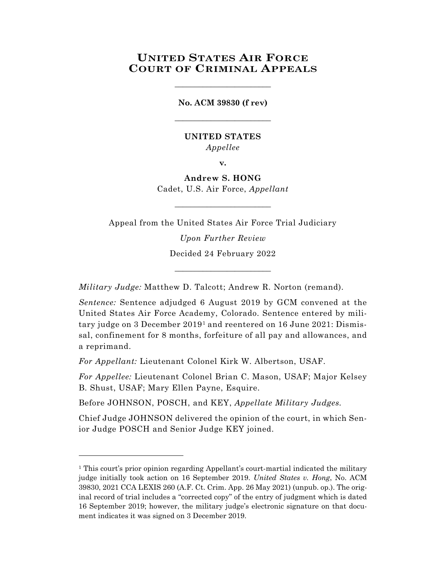# **UNITED STATES AIR FORCE COURT OF CRIMINAL APPEALS**

**No. ACM 39830 (f rev)** \_\_\_\_\_\_\_\_\_\_\_\_\_\_\_\_\_\_\_\_\_\_\_\_

\_\_\_\_\_\_\_\_\_\_\_\_\_\_\_\_\_\_\_\_\_\_\_\_

### **UNITED STATES** *Appellee*

**v.**

**Andrew S. HONG** Cadet, U.S. Air Force, *Appellant*

\_\_\_\_\_\_\_\_\_\_\_\_\_\_\_\_\_\_\_\_\_\_\_\_

Appeal from the United States Air Force Trial Judiciary *Upon Further Review*

Decided 24 February 2022 \_\_\_\_\_\_\_\_\_\_\_\_\_\_\_\_\_\_\_\_\_\_\_\_

*Military Judge:* Matthew D. Talcott; Andrew R. Norton (remand).

*Sentence:* Sentence adjudged 6 August 2019 by GCM convened at the United States Air Force Academy, Colorado. Sentence entered by military judge on 3 December 2019[1](#page-0-0) and reentered on 16 June 2021: Dismissal, confinement for 8 months, forfeiture of all pay and allowances, and a reprimand.

*For Appellant:* Lieutenant Colonel Kirk W. Albertson, USAF.

l

*For Appellee:* Lieutenant Colonel Brian C. Mason, USAF; Major Kelsey B. Shust, USAF; Mary Ellen Payne, Esquire.

Before JOHNSON, POSCH, and KEY, *Appellate Military Judges.*

Chief Judge JOHNSON delivered the opinion of the court, in which Senior Judge POSCH and Senior Judge KEY joined.

<span id="page-0-0"></span><sup>&</sup>lt;sup>1</sup> This court's prior opinion regarding Appellant's court-martial indicated the military judge initially took action on 16 September 2019. *United States v. Hong*, No. ACM 39830, 2021 CCA LEXIS 260 (A.F. Ct. Crim. App. 26 May 2021) (unpub. op.). The original record of trial includes a "corrected copy" of the entry of judgment which is dated 16 September 2019; however, the military judge's electronic signature on that document indicates it was signed on 3 December 2019.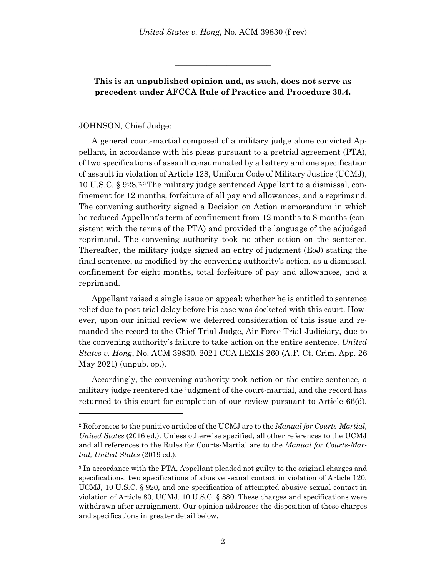**This is an unpublished opinion and, as such, does not serve as precedent under AFCCA Rule of Practice and Procedure 30.4.**

\_\_\_\_\_\_\_\_\_\_\_\_\_\_\_\_\_\_\_\_\_\_\_\_

\_\_\_\_\_\_\_\_\_\_\_\_\_\_\_\_\_\_\_\_\_\_\_\_

### JOHNSON, Chief Judge:

l

A general court-martial composed of a military judge alone convicted Appellant, in accordance with his pleas pursuant to a pretrial agreement (PTA), of two specifications of assault consummated by a battery and one specification of assault in violation of Article 128, Uniform Code of Military Justice (UCMJ), 10 U.S.C. § 928.[2,](#page-1-0)[3](#page-1-1) The military judge sentenced Appellant to a dismissal, confinement for 12 months, forfeiture of all pay and allowances, and a reprimand. The convening authority signed a Decision on Action memorandum in which he reduced Appellant's term of confinement from 12 months to 8 months (consistent with the terms of the PTA) and provided the language of the adjudged reprimand. The convening authority took no other action on the sentence. Thereafter, the military judge signed an entry of judgment (EoJ) stating the final sentence, as modified by the convening authority's action, as a dismissal, confinement for eight months, total forfeiture of pay and allowances, and a reprimand.

Appellant raised a single issue on appeal: whether he is entitled to sentence relief due to post-trial delay before his case was docketed with this court. However, upon our initial review we deferred consideration of this issue and remanded the record to the Chief Trial Judge, Air Force Trial Judiciary, due to the convening authority's failure to take action on the entire sentence. *United States v. Hong*, No. ACM 39830, 2021 CCA LEXIS 260 (A.F. Ct. Crim. App. 26 May 2021) (unpub. op.).

Accordingly, the convening authority took action on the entire sentence, a military judge reentered the judgment of the court-martial, and the record has returned to this court for completion of our review pursuant to Article 66(d),

<span id="page-1-0"></span><sup>2</sup> References to the punitive articles of the UCMJ are to the *Manual for Courts-Martial, United States* (2016 ed.). Unless otherwise specified, all other references to the UCMJ and all references to the Rules for Courts-Martial are to the *Manual for Courts-Martial, United States* (2019 ed.).

<span id="page-1-1"></span><sup>3</sup> In accordance with the PTA, Appellant pleaded not guilty to the original charges and specifications: two specifications of abusive sexual contact in violation of Article 120, UCMJ, 10 U.S.C. § 920, and one specification of attempted abusive sexual contact in violation of Article 80, UCMJ, 10 U.S.C. § 880. These charges and specifications were withdrawn after arraignment. Our opinion addresses the disposition of these charges and specifications in greater detail below.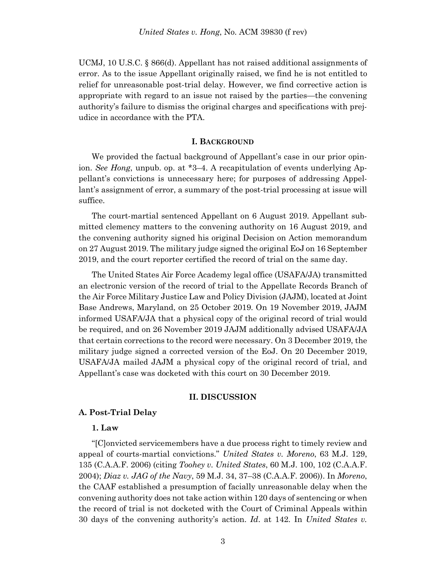UCMJ, 10 U.S.C. § 866(d). Appellant has not raised additional assignments of error. As to the issue Appellant originally raised, we find he is not entitled to relief for unreasonable post-trial delay. However, we find corrective action is appropriate with regard to an issue not raised by the parties—the convening authority's failure to dismiss the original charges and specifications with prejudice in accordance with the PTA.

#### **I. BACKGROUND**

We provided the factual background of Appellant's case in our prior opinion. *See Hong*, unpub. op. at \*3–4. A recapitulation of events underlying Appellant's convictions is unnecessary here; for purposes of addressing Appellant's assignment of error, a summary of the post-trial processing at issue will suffice.

The court-martial sentenced Appellant on 6 August 2019. Appellant submitted clemency matters to the convening authority on 16 August 2019, and the convening authority signed his original Decision on Action memorandum on 27 August 2019. The military judge signed the original EoJ on 16 September 2019, and the court reporter certified the record of trial on the same day.

The United States Air Force Academy legal office (USAFA/JA) transmitted an electronic version of the record of trial to the Appellate Records Branch of the Air Force Military Justice Law and Policy Division (JAJM), located at Joint Base Andrews, Maryland, on 25 October 2019. On 19 November 2019, JAJM informed USAFA/JA that a physical copy of the original record of trial would be required, and on 26 November 2019 JAJM additionally advised USAFA/JA that certain corrections to the record were necessary. On 3 December 2019, the military judge signed a corrected version of the EoJ. On 20 December 2019, USAFA/JA mailed JAJM a physical copy of the original record of trial, and Appellant's case was docketed with this court on 30 December 2019.

#### **II. DISCUSSION**

#### **A. Post-Trial Delay**

#### **1. Law**

"[C]onvicted servicemembers have a due process right to timely review and appeal of courts-martial convictions." *United States v. Moreno*, 63 M.J. 129, 135 (C.A.A.F. 2006) (citing *Toohey v. United States*, 60 M.J. 100, 102 (C.A.A.F. 2004); *Diaz v. JAG of the Navy*, 59 M.J. 34, 37–38 (C.A.A.F. 2006)). In *Moreno*, the CAAF established a presumption of facially unreasonable delay when the convening authority does not take action within 120 days of sentencing or when the record of trial is not docketed with the Court of Criminal Appeals within 30 days of the convening authority's action. *Id*. at 142. In *United States v.*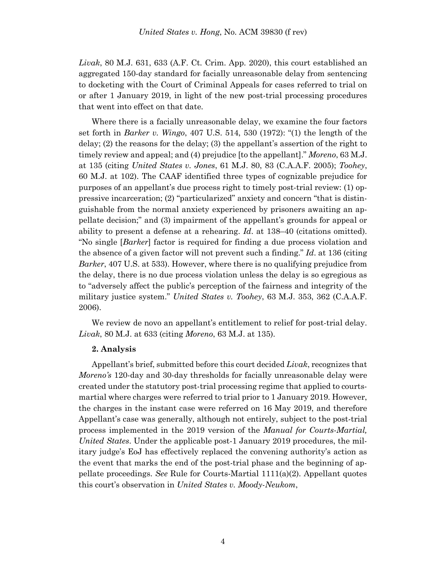*Livak*, 80 M.J. 631, 633 (A.F. Ct. Crim. App. 2020), this court established an aggregated 150-day standard for facially unreasonable delay from sentencing to docketing with the Court of Criminal Appeals for cases referred to trial on or after 1 January 2019, in light of the new post-trial processing procedures that went into effect on that date.

Where there is a facially unreasonable delay, we examine the four factors set forth in *Barker v. Wingo*, 407 U.S. 514, 530 (1972): "(1) the length of the delay; (2) the reasons for the delay; (3) the appellant's assertion of the right to timely review and appeal; and (4) prejudice [to the appellant]." *Moreno*, 63 M.J. at 135 (citing *United States v. Jones*, 61 M.J. 80, 83 (C.A.A.F. 2005); *Toohey*, 60 M.J. at 102). The CAAF identified three types of cognizable prejudice for purposes of an appellant's due process right to timely post-trial review: (1) oppressive incarceration; (2) "particularized" anxiety and concern "that is distinguishable from the normal anxiety experienced by prisoners awaiting an appellate decision;" and (3) impairment of the appellant's grounds for appeal or ability to present a defense at a rehearing. *Id*. at 138–40 (citations omitted). "No single [*Barker*] factor is required for finding a due process violation and the absence of a given factor will not prevent such a finding." *Id*. at 136 (citing *Barker*, 407 U.S. at 533). However, where there is no qualifying prejudice from the delay, there is no due process violation unless the delay is so egregious as to "adversely affect the public's perception of the fairness and integrity of the military justice system." *United States v. Toohey*, 63 M.J. 353, 362 (C.A.A.F. 2006).

We review de novo an appellant's entitlement to relief for post-trial delay. *Livak*, 80 M.J. at 633 (citing *Moreno*, 63 M.J. at 135).

#### **2. Analysis**

Appellant's brief, submitted before this court decided *Livak*, recognizes that *Moreno's* 120-day and 30-day thresholds for facially unreasonable delay were created under the statutory post-trial processing regime that applied to courtsmartial where charges were referred to trial prior to 1 January 2019. However, the charges in the instant case were referred on 16 May 2019, and therefore Appellant's case was generally, although not entirely, subject to the post-trial process implemented in the 2019 version of the *Manual for Courts-Martial, United States*. Under the applicable post-1 January 2019 procedures, the military judge's EoJ has effectively replaced the convening authority's action as the event that marks the end of the post-trial phase and the beginning of appellate proceedings. *See* Rule for Courts-Martial 1111(a)(2). Appellant quotes this court's observation in *United States v. Moody-Neukom*,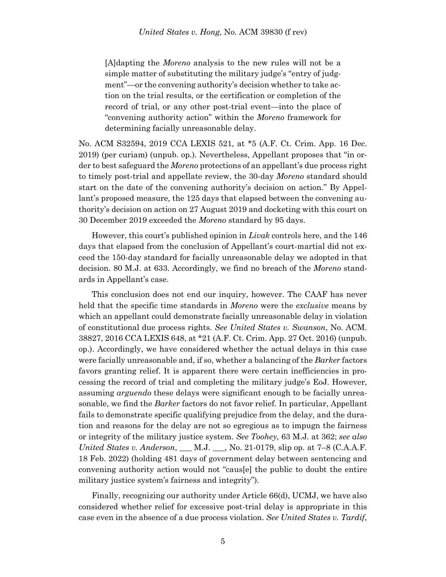[A]dapting the *Moreno* analysis to the new rules will not be a simple matter of substituting the military judge's "entry of judgment"—or the convening authority's decision whether to take action on the trial results, or the certification or completion of the record of trial, or any other post-trial event—into the place of "convening authority action" within the *Moreno* framework for determining facially unreasonable delay.

No. ACM S32594, 2019 CCA LEXIS 521, at \*5 (A.F. Ct. Crim. App. 16 Dec. 2019) (per curiam) (unpub. op.). Nevertheless, Appellant proposes that "in order to best safeguard the *Moreno* protections of an appellant's due process right to timely post-trial and appellate review, the 30-day *Moreno* standard should start on the date of the convening authority's decision on action." By Appellant's proposed measure, the 125 days that elapsed between the convening authority's decision on action on 27 August 2019 and docketing with this court on 30 December 2019 exceeded the *Moreno* standard by 95 days.

However, this court's published opinion in *Livak* controls here, and the 146 days that elapsed from the conclusion of Appellant's court-martial did not exceed the 150-day standard for facially unreasonable delay we adopted in that decision. 80 M.J. at 633. Accordingly, we find no breach of the *Moreno* standards in Appellant's case.

This conclusion does not end our inquiry, however. The CAAF has never held that the specific time standards in *Moreno* were the *exclusive* means by which an appellant could demonstrate facially unreasonable delay in violation of constitutional due process rights. *See United States v. Swanson*, No. ACM. 38827, 2016 CCA LEXIS 648, at \*21 (A.F. Ct. Crim. App. 27 Oct. 2016) (unpub. op.). Accordingly, we have considered whether the actual delays in this case were facially unreasonable and, if so, whether a balancing of the *Barker* factors favors granting relief. It is apparent there were certain inefficiencies in processing the record of trial and completing the military judge's EoJ. However, assuming *arguendo* these delays were significant enough to be facially unreasonable, we find the *Barker* factors do not favor relief. In particular, Appellant fails to demonstrate specific qualifying prejudice from the delay, and the duration and reasons for the delay are not so egregious as to impugn the fairness or integrity of the military justice system. *See Toohey*, 63 M.J. at 362; *see also United States v. Anderson*, \_\_\_ M.J. \_\_\_, No. 21-0179, slip op. at 7–8 (C.A.A.F. 18 Feb. 2022) (holding 481 days of government delay between sentencing and convening authority action would not "caus[e] the public to doubt the entire military justice system's fairness and integrity").

Finally, recognizing our authority under Article 66(d), UCMJ, we have also considered whether relief for excessive post-trial delay is appropriate in this case even in the absence of a due process violation. *See United States v. Tardif*,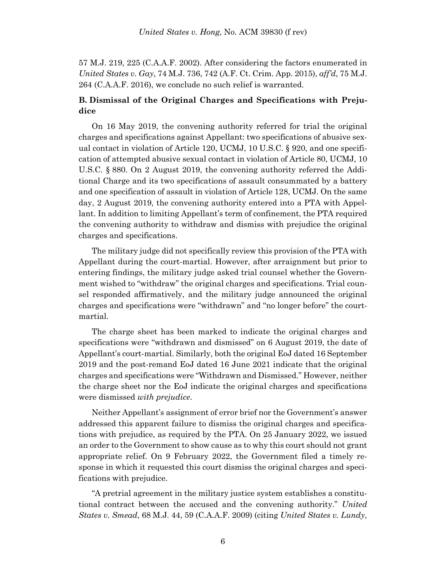57 M.J. 219, 225 (C.A.A.F. 2002). After considering the factors enumerated in *United States v. Gay*, 74 M.J. 736, 742 (A.F. Ct. Crim. App. 2015), *aff'd*, 75 M.J. 264 (C.A.A.F. 2016), we conclude no such relief is warranted.

## **B. Dismissal of the Original Charges and Specifications with Prejudice**

On 16 May 2019, the convening authority referred for trial the original charges and specifications against Appellant: two specifications of abusive sexual contact in violation of Article 120, UCMJ, 10 U.S.C. § 920, and one specification of attempted abusive sexual contact in violation of Article 80, UCMJ, 10 U.S.C. § 880. On 2 August 2019, the convening authority referred the Additional Charge and its two specifications of assault consummated by a battery and one specification of assault in violation of Article 128, UCMJ. On the same day, 2 August 2019, the convening authority entered into a PTA with Appellant. In addition to limiting Appellant's term of confinement, the PTA required the convening authority to withdraw and dismiss with prejudice the original charges and specifications.

The military judge did not specifically review this provision of the PTA with Appellant during the court-martial. However, after arraignment but prior to entering findings, the military judge asked trial counsel whether the Government wished to "withdraw" the original charges and specifications. Trial counsel responded affirmatively, and the military judge announced the original charges and specifications were "withdrawn" and "no longer before" the courtmartial.

The charge sheet has been marked to indicate the original charges and specifications were "withdrawn and dismissed" on 6 August 2019, the date of Appellant's court-martial. Similarly, both the original EoJ dated 16 September 2019 and the post-remand EoJ dated 16 June 2021 indicate that the original charges and specifications were "Withdrawn and Dismissed." However, neither the charge sheet nor the EoJ indicate the original charges and specifications were dismissed *with prejudice*.

Neither Appellant's assignment of error brief nor the Government's answer addressed this apparent failure to dismiss the original charges and specifications with prejudice, as required by the PTA. On 25 January 2022, we issued an order to the Government to show cause as to why this court should not grant appropriate relief. On 9 February 2022, the Government filed a timely response in which it requested this court dismiss the original charges and specifications with prejudice.

"A pretrial agreement in the military justice system establishes a constitutional contract between the accused and the convening authority." *United States v. Smead*, 68 M.J. 44, 59 (C.A.A.F. 2009) (citing *United States v. Lundy*,